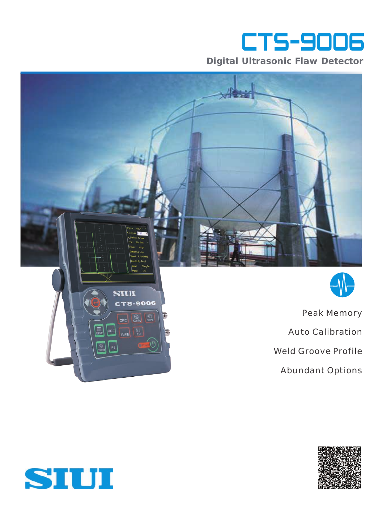

**Digital Ultrasonic Flaw Detector**





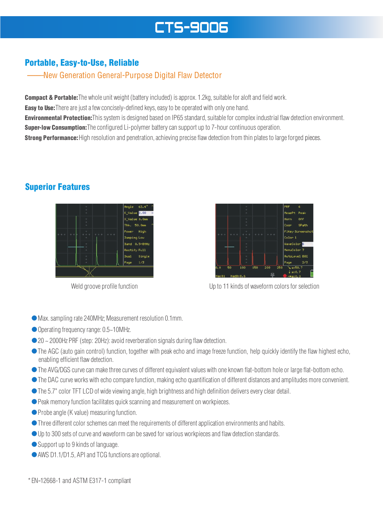# **CTS-9006**

## Portable, Easy-to-Use, Reliable

#### —— ——New Generation General-Purpose Digital Flaw Detector

**Compact & Portable:**The whole unit weight (battery included) is approx. 1.2kg, suitable for aloft and field work.

**Easy to Use:**There are just a few concisely-defined keys, easy to be operated with only one hand.

**Environmental Protection:**This system is designed based on IP65 standard, suitable for complex industrial flaw detection environment. **Super-low Consumption:**The configured Li-polymer battery can support up to 7-hour continuous operation.

**Strong Performance:** High resolution and penetration, achieving precise flaw detection from thin plates to large forged pieces.

### Superior Features





Weld groove profile function Up to 11 kinds of waveform colors for selection

- ●Max. sampling rate 240MHz; Measurement resolution 0.1mm.
- Operating frequency range: 0.5~10MHz.
- 20 ~ 2000Hz PRF (step: 20Hz): avoid reverberation signals during flaw detection.
- ●The AGC (auto gain control) function, together with peak echo and image freeze function, help quickly identify the flaw highest echo, enabling efficient flaw detection.
- ●The AVG/DGS curve can make three curves of different equivalent values with one known flat-bottom hole or large flat-bottom echo.
- ●The DAC curve works with echo compare function, making echo quantification of different distances and amplitudes more convenient.
- ●The 5.7" color TFT LCD of wide viewing angle, high brightness and high definition delivers every clear detail.
- Peak memory function facilitates quick scanning and measurement on workpieces.
- Probe angle (K value) measuring function.
- ●Three different color schemes can meet the requirements of different application environments and habits.
- Up to 300 sets of curve and waveform can be saved for various workpieces and flaw detection standards.
- Support up to 9 kinds of language.
- AWS D1.1/D1.5, API and TCG functions are optional.

 $*$  EN-12668-1 and ASTM E317-1 compliant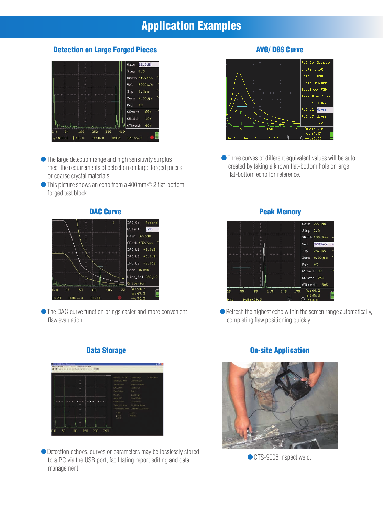## Application Examples

#### Detection on Large Forged Pieces



- ●The large detection range and high sensitivity surplus meet the requirements of detection on large forged pieces or coarse crystal materials.
- This picture shows an echo from a 400mm  $\Phi$  2 flat-bottom forged test block.



DAC\_L3  $-6.0dB$ 

Line\_Sel DAC\_L2

Corr 0.0dB

Criterion

 $\sqrt{194.7}$ <br> $+147.3$ 



● Detection echoes, curves or parameters may be losslessly stored to a PC via the USB port, facilitating report editing and data management.

#### AVG/ DGS Curve



●Three curves of different equivalent values will be auto created by taking a known flat-bottom hole or large flat-bottom echo for reference.



 $\bullet$  Refresh the highest echo within the screen range automatically, completing flaw positioning quickly.

### On-site Application



● CTS-9006 inspect weld.

### Data Storage

中国

flaw evaluation.

●The DAC curve function brings easier and more convenient

133

 $106$